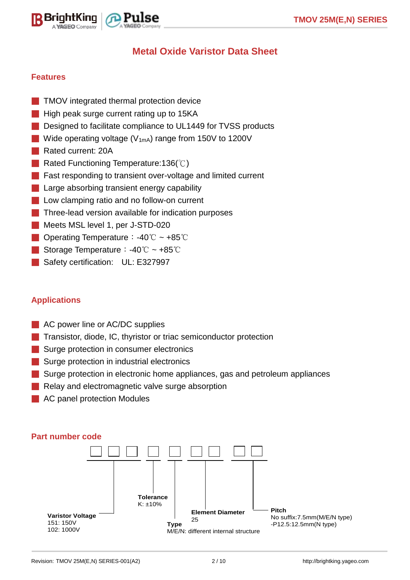



# **Metal Oxide Varistor Data Sheet**

#### **Features**

- TMOV integrated thermal protection device
- High peak surge current rating up to 15KA
- Designed to facilitate compliance to UL1449 for TVSS products
- Wide operating voltage ( $V_{1mA}$ ) range from 150V to 1200V
- Rated current: 20A
- Rated Functioning Temperature:136(°C)
- Fast responding to transient over-voltage and limited current
- Large absorbing transient energy capability
- Low clamping ratio and no follow-on current
- **Three-lead version available for indication purposes**
- Meets MSL level 1, per J-STD-020
- Operating Temperature: -40℃ ~ +85℃
- Storage Temperature: -40℃ ~ +85℃
- Safety certification: UL: E327997

#### **Applications**

- AC power line or AC/DC supplies
- Transistor, diode, IC, thyristor or triac semiconductor protection
- Surge protection in consumer electronics
- Surge protection in industrial electronics
- Surge protection in electronic home appliances, gas and petroleum appliances
- Relay and electromagnetic valve surge absorption
- AC panel protection Modules



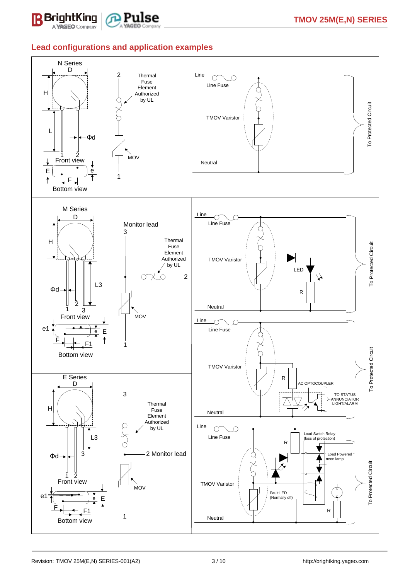



#### **Lead configurations and application examples**

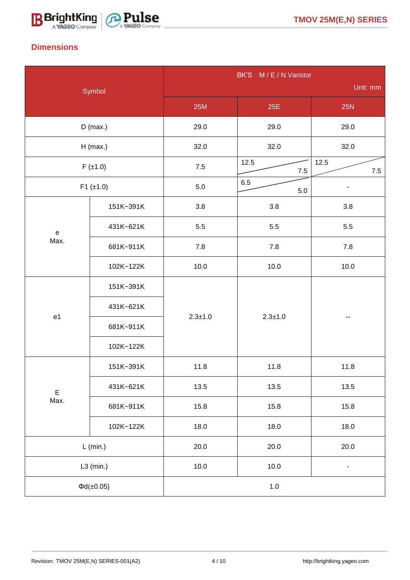



## **Dimensions**

| Symbol              |                    | BK'S M/E/N Varistor |                         |       |  |  |  |
|---------------------|--------------------|---------------------|-------------------------|-------|--|--|--|
|                     |                    | Unit: mm            |                         |       |  |  |  |
|                     |                    | <b>25M</b>          | 25E                     | 25N   |  |  |  |
|                     | $D$ (max.)         | 29.0                | 29.0                    | 29.0  |  |  |  |
| $H$ (max.)          |                    | 32.0                | 32.0                    | 32.0  |  |  |  |
|                     | $F(\pm 1.0)$       | $7.5$               | 12.5<br>12.5<br>$7.5\,$ |       |  |  |  |
| $F1 (\pm 1.0)$      |                    | 5.0                 | 6.5<br>$5.0\,$          |       |  |  |  |
|                     | 151K~391K          | 3.8                 | 3.8                     | 3.8   |  |  |  |
| ${\bf e}$           | 431K~621K          | 5.5                 | 5.5                     | 5.5   |  |  |  |
| Max.                | 681K~911K          | 7.8                 | 7.8                     | $7.8$ |  |  |  |
|                     | 102K~122K          | 10.0                | 10.0                    | 10.0  |  |  |  |
|                     | 151K~391K          |                     |                         |       |  |  |  |
|                     | 431K~621K          |                     |                         |       |  |  |  |
| e1                  | 681K~911K          | $2.3 + 1.0$         | $2.3 + 1.0$             |       |  |  |  |
|                     | 102K~122K          |                     |                         |       |  |  |  |
| $\mathsf E$<br>Max. | 151K~391K          | 11.8                | 11.8                    | 11.8  |  |  |  |
|                     | 431K~621K          | 13.5                | 13.5                    | 13.5  |  |  |  |
|                     | 681K~911K          | 15.8                | 15.8                    | 15.8  |  |  |  |
|                     | 102K~122K          | 18.0                | 18.0                    | 18.0  |  |  |  |
| $L$ (min.)          |                    | 20.0                | 20.0                    | 20.0  |  |  |  |
|                     | $L3$ (min.)        | $10.0$              | 10.0<br>۰               |       |  |  |  |
|                     | $\Phi d(\pm 0.05)$ | $1.0\,$             |                         |       |  |  |  |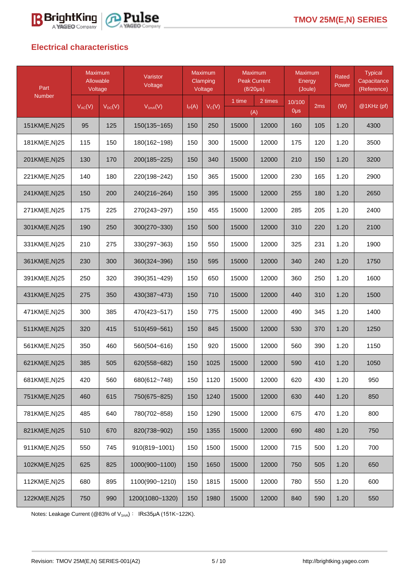



## **Electrical characteristics**

| Part                         | <b>Maximum</b><br>Allowable<br>Voltage |             | Varistor<br>Voltage | <b>Maximum</b><br>Clamping<br>Voltage |          | <b>Maximum</b><br><b>Peak Current</b><br>$(8/20\mu s)$ |       | <b>Maximum</b><br>Energy<br>(Joule) |      | Rated<br>Power | <b>Typical</b><br>Capacitance<br>(Reference) |
|------------------------------|----------------------------------------|-------------|---------------------|---------------------------------------|----------|--------------------------------------------------------|-------|-------------------------------------|------|----------------|----------------------------------------------|
| <b>Number</b><br>$V_{AC}(V)$ |                                        | $V_{DC}(V)$ | $V_{1mA}(V)$        | $I_P(A)$                              | $V_C(V)$ | 1 time<br>2 times<br>(A)                               |       | 10/100<br>0 <sub>µ</sub>            | 2ms  | (W)            | @1KHz (pf)                                   |
| 151KM(E,N)25                 | 95                                     | 125         | $150(135 - 165)$    | 250<br>15000<br>150                   |          | 12000                                                  | 160   | 105                                 | 1.20 | 4300           |                                              |
| 181KM(E,N)25                 | 115                                    | 150         | 180(162~198)        | 150                                   | 300      | 15000                                                  | 12000 | 175                                 | 120  | 1.20           | 3500                                         |
| 201KM(E,N)25                 | 130                                    | 170         | 200(185~225)        | 150                                   | 340      | 15000                                                  | 12000 | 210                                 | 150  | 1.20           | 3200                                         |
| 221KM(E,N)25                 | 140                                    | 180         | 220(198~242)        | 150                                   | 365      | 15000                                                  | 12000 | 230                                 | 165  | 1.20           | 2900                                         |
| 241KM(E,N)25                 | 150                                    | 200         | 240(216~264)        | 150                                   | 395      | 15000                                                  | 12000 | 255                                 | 180  | 1.20           | 2650                                         |
| 271KM(E,N)25                 | 175                                    | 225         | 270(243~297)        | 150                                   | 455      | 15000                                                  | 12000 | 285                                 | 205  | 1.20           | 2400                                         |
| 301KM(E,N)25                 | 190                                    | 250         | 300(270~330)        | 150                                   | 500      | 15000                                                  | 12000 | 310                                 | 220  | 1.20           | 2100                                         |
| 331KM(E,N)25                 | 210                                    | 275         | 330(297~363)        | 150                                   | 550      | 15000                                                  | 12000 | 325                                 | 231  | 1.20           | 1900                                         |
| 361KM(E,N)25                 | 230                                    | 300         | 360(324~396)        | 150                                   | 595      | 15000                                                  | 12000 | 340                                 | 240  | 1.20           | 1750                                         |
| 391KM(E,N)25                 | 250                                    | 320         | 390(351~429)        | 150                                   | 650      | 15000                                                  | 12000 | 360                                 | 250  | 1.20           | 1600                                         |
| 431KM(E,N)25                 | 275                                    | 350         | 430(387~473)        | 150                                   | 710      | 15000                                                  | 12000 | 440                                 | 310  | 1.20           | 1500                                         |
| 471KM(E,N)25                 | 300                                    | 385         | 470(423~517)        | 150                                   | 775      | 15000                                                  | 12000 | 490                                 | 345  | 1.20           | 1400                                         |
| 511KM(E,N)25                 | 320                                    | 415         | 510(459~561)        | 150                                   | 845      | 15000                                                  | 12000 | 530                                 | 370  | 1.20           | 1250                                         |
| 561KM(E,N)25                 | 350                                    | 460         | 560(504~616)        | 150                                   | 920      | 15000                                                  | 12000 | 560                                 | 390  | 1.20           | 1150                                         |
| 621KM(E,N)25                 | 385                                    | 505         | 620(558~682)        | 150                                   | 1025     | 15000                                                  | 12000 | 590                                 | 410  | 1.20           | 1050                                         |
| 681KM(E,N)25                 | 420                                    | 560         | 680(612~748)        | 150                                   | 1120     | 15000                                                  | 12000 | 620                                 | 430  | 1.20           | 950                                          |
| 751KM(E,N)25                 | 460                                    | 615         | 750(675~825)        | 150                                   | 1240     | 15000                                                  | 12000 | 630                                 | 440  | 1.20           | 850                                          |
| 781KM(E,N)25                 | 485                                    | 640         | 780(702~858)        | 150                                   | 1290     | 15000                                                  | 12000 | 675                                 | 470  | 1.20           | 800                                          |
| 821KM(E,N)25                 | 510                                    | 670         | 820(738~902)        | 150                                   | 1355     | 15000                                                  | 12000 | 690                                 | 480  | 1.20           | 750                                          |
| 911KM(E,N)25                 | 550                                    | 745         | 910(819~1001)       | 150                                   | 1500     | 15000                                                  | 12000 | 715                                 | 500  | 1.20           | 700                                          |
| 102KM(E,N)25                 | 625                                    | 825         | 1000(900~1100)      | 150                                   | 1650     | 15000                                                  | 12000 | 750                                 | 505  | 1.20           | 650                                          |
| 112KM(E,N)25                 | 680                                    | 895         | 1100(990~1210)      | 150                                   | 1815     | 15000                                                  | 12000 | 780                                 | 550  | 1.20           | 600                                          |
| 122KM(E,N)25                 | 750                                    | 990         | 1200(1080~1320)     | 150                                   | 1980     | 15000                                                  | 12000 | 840                                 | 590  | 1.20           | 550                                          |

Notes: Leakage Current (@83% of V<sub>1mA</sub>): IR≤35μA (151K~122K).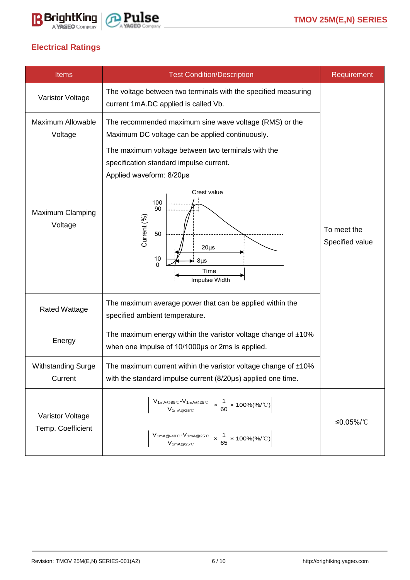



## **Electrical Ratings**

| <b>Items</b>                         | <b>Test Condition/Description</b>                                                                                                                           | Requirement                    |
|--------------------------------------|-------------------------------------------------------------------------------------------------------------------------------------------------------------|--------------------------------|
| Varistor Voltage                     | The voltage between two terminals with the specified measuring<br>current 1mA.DC applied is called Vb.                                                      |                                |
| <b>Maximum Allowable</b><br>Voltage  | The recommended maximum sine wave voltage (RMS) or the<br>Maximum DC voltage can be applied continuously.                                                   |                                |
| <b>Maximum Clamping</b><br>Voltage   | The maximum voltage between two terminals with the<br>specification standard impulse current.<br>Applied waveform: 8/20µs<br>Crest value<br>100             |                                |
|                                      | 90<br>Current (%)<br>50<br>$20\mu s$<br>$\begin{matrix} 10 \\ 0 \end{matrix}$<br>$8\mu s$<br>Time<br>Impulse Width                                          | To meet the<br>Specified value |
| <b>Rated Wattage</b>                 | The maximum average power that can be applied within the<br>specified ambient temperature.                                                                  |                                |
| Energy                               | The maximum energy within the varistor voltage change of $±10\%$<br>when one impulse of 10/1000µs or 2ms is applied.                                        |                                |
| <b>Withstanding Surge</b><br>Current | The maximum current within the varistor voltage change of $±10\%$<br>with the standard impulse current (8/20µs) applied one time.                           |                                |
| Varistor Voltage                     | $\frac{\rm V_{1mA@85^{\circ}\rm C}\text{-}V_{1mA@25^{\circ}\rm C}}{\rm V_{1mA@25^{\circ}\rm C}}\times\frac{1}{60}\times100\%(\%/\rm ^{\circ}\rm C)\Bigg $   | ≤0.05%/℃                       |
| Temp. Coefficient                    | $\frac{V_{1mA@\cdot 40^\circ \text{C}}\cdot V_{1mA@25^\circ \text{C}}}{V_{1mA@25^\circ \text{C}}} \times \frac{1}{65} \times 100\% (\% / ^{\circ}\text{C})$ |                                |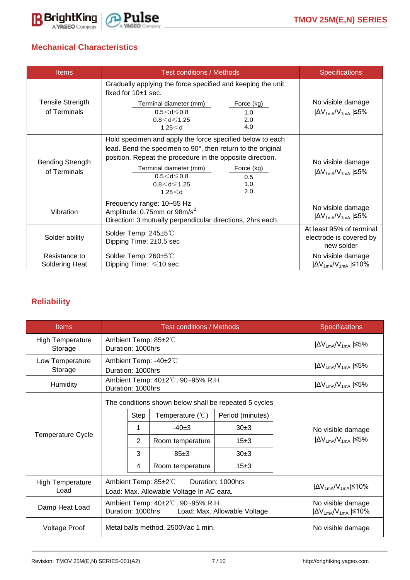

## **Mechanical Characteristics**

| <b>Items</b>                            | <b>Test conditions / Methods</b>                                                                                                                                                                                                                                                                           | <b>Specifications</b>                                             |  |
|-----------------------------------------|------------------------------------------------------------------------------------------------------------------------------------------------------------------------------------------------------------------------------------------------------------------------------------------------------------|-------------------------------------------------------------------|--|
|                                         | Gradually applying the force specified and keeping the unit<br>fixed for $10±1$ sec.                                                                                                                                                                                                                       |                                                                   |  |
| <b>Tensile Strength</b><br>of Terminals | Terminal diameter (mm)<br>Force (kg)<br>$0.5 < d \leq 0.8$<br>1.0<br>$0.8 < d \le 1.25$<br>2.0<br>4.0<br>1.25 < d                                                                                                                                                                                          | No visible damage<br>$ \Delta V_{1mA}/V_{1mA}  \leq 5\%$          |  |
| <b>Bending Strength</b><br>of Terminals | Hold specimen and apply the force specified below to each<br>lead. Bend the specimen to 90°, then return to the original<br>position. Repeat the procedure in the opposite direction.<br>Terminal diameter (mm)<br>Force (kg)<br>$0.5 < d \leq 0.8$<br>0.5<br>$0.8 < d \le 1.25$<br>1.0<br>2.0<br>1.25 < d | No visible damage<br>$ \Delta V_{1mA}/V_{1mA}  \leq 5\%$          |  |
| Vibration                               | Frequency range: 10~55 Hz<br>Amplitude: 0.75mm or 98m/s <sup>2</sup><br>Direction: 3 mutually perpendicular directions, 2hrs each.                                                                                                                                                                         | No visible damage<br>$ \Delta V_{1mA}/V_{1mA}  \leq 5\%$          |  |
| Solder ability                          | Solder Temp: 245±5℃<br>Dipping Time: 2±0.5 sec                                                                                                                                                                                                                                                             | At least 95% of terminal<br>electrode is covered by<br>new solder |  |
| Resistance to<br>Soldering Heat         | Solder Temp: 260±5℃<br>Dipping Time: $\leq 10$ sec                                                                                                                                                                                                                                                         | No visible damage<br>$ \Delta V_{1mA}/V_{1mA}  \leq 10\%$         |  |

## **Reliability**

| <b>Items</b>                       | <b>Test conditions / Methods</b>                                                      |                     |                                                                                                                              |                                            |                                                           | <b>Specifications</b>                                    |
|------------------------------------|---------------------------------------------------------------------------------------|---------------------|------------------------------------------------------------------------------------------------------------------------------|--------------------------------------------|-----------------------------------------------------------|----------------------------------------------------------|
| <b>High Temperature</b><br>Storage | Ambient Temp: 85±2℃<br>Duration: 1000hrs                                              |                     |                                                                                                                              |                                            | $ \Delta V_{1mA}/V_{1mA} $ $\leq 5\%$                     |                                                          |
| Low Temperature<br>Storage         | Ambient Temp: -40±2°C<br>Duration: 1000hrs                                            |                     |                                                                                                                              |                                            | $ \Delta V_{1mA}/V_{1mA}  \leq 5\%$                       |                                                          |
| <b>Humidity</b>                    | Ambient Temp: 40±2℃, 90~95% R.H.<br>Duration: 1000hrs                                 |                     |                                                                                                                              |                                            |                                                           | $ \Delta V_{1mA}/V_{1mA} $ \states 5%                    |
| <b>Temperature Cycle</b>           |                                                                                       | Step<br>1<br>2<br>3 | The conditions shown below shall be repeated 5 cycles<br>Temperature ( $\degree$ C)<br>$-40+3$<br>Room temperature<br>$85+3$ | Period (minutes)<br>30±3<br>$15+3$<br>30±3 |                                                           | No visible damage<br>$ \Delta V_{1mA}/V_{1mA}  \leq 5\%$ |
|                                    |                                                                                       | 4                   | Room temperature                                                                                                             | 15±3                                       |                                                           |                                                          |
| <b>High Temperature</b><br>Load    | Ambient Temp: 85±2°C<br>Duration: 1000hrs<br>Load: Max. Allowable Voltage In AC eara. |                     |                                                                                                                              |                                            | $ \Delta V_{1mA}/V_{1mA}  \leq 10\%$                      |                                                          |
| Damp Heat Load                     | Ambient Temp: 40±2℃, 90~95% R.H.<br>Duration: 1000hrs<br>Load: Max. Allowable Voltage |                     |                                                                                                                              |                                            | No visible damage<br>$ \Delta V_{1mA}/V_{1mA}  \leq 10\%$ |                                                          |
| <b>Voltage Proof</b>               | Metal balls method, 2500Vac 1 min.                                                    |                     |                                                                                                                              |                                            |                                                           | No visible damage                                        |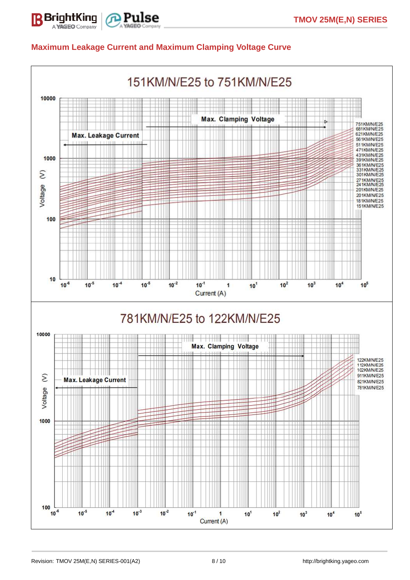

#### **Maximum Leakage Current and Maximum Clamping Voltage Curve**

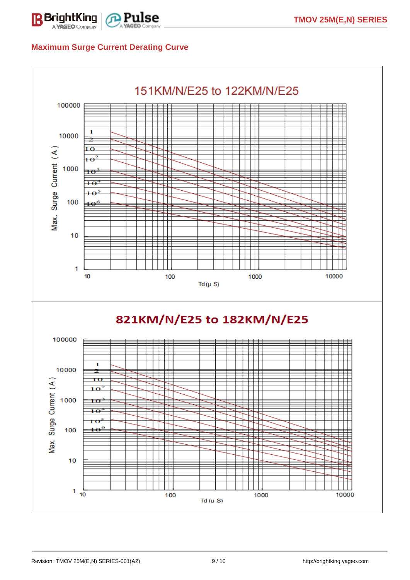

### **Maximum Surge Current Derating Curve**